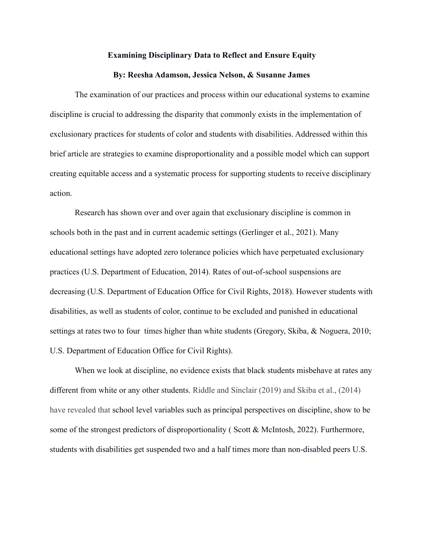### **Examining Disciplinary Data to Reflect and Ensure Equity**

#### **By: Reesha Adamson, Jessica Nelson, & Susanne James**

The examination of our practices and process within our educational systems to examine discipline is crucial to addressing the disparity that commonly exists in the implementation of exclusionary practices for students of color and students with disabilities. Addressed within this brief article are strategies to examine disproportionality and a possible model which can support creating equitable access and a systematic process for supporting students to receive disciplinary action.

Research has shown over and over again that exclusionary discipline is common in schools both in the past and in current academic settings (Gerlinger et al., 2021). Many educational settings have adopted zero tolerance policies which have perpetuated exclusionary practices (U.S. Department of Education, 2014). Rates of out-of-school suspensions are decreasing (U.S. Department of Education Office for Civil Rights, 2018). However students with disabilities, as well as students of color, continue to be excluded and punished in educational settings at rates two to four times higher than white students (Gregory, Skiba, & Noguera, 2010; U.S. Department of Education Office for Civil Rights).

When we look at discipline, no evidence exists that black students misbehave at rates any different from white or any other students. Riddle and Sinclair (2019) and Skiba et al., (2014) have revealed that school level variables such as principal perspectives on discipline, show to be some of the strongest predictors of disproportionality ( Scott & McIntosh, 2022). Furthermore, students with disabilities get suspended two and a half times more than non-disabled peers U.S.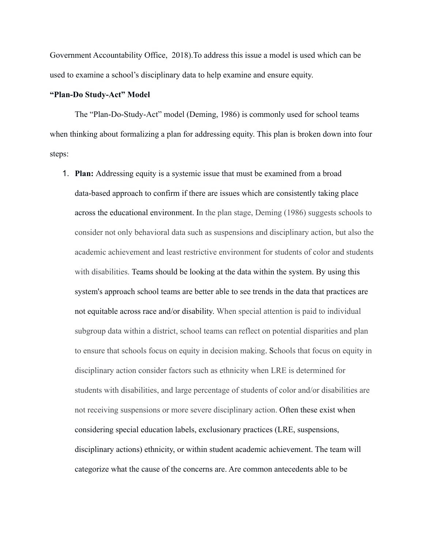Government Accountability Office, 2018).To address this issue a model is used which can be used to examine a school's disciplinary data to help examine and ensure equity.

### **"Plan-Do Study-Act" Model**

The "Plan-Do-Study-Act" model (Deming, 1986) is commonly used for school teams when thinking about formalizing a plan for addressing equity. This plan is broken down into four steps:

1. **Plan:** Addressing equity is a systemic issue that must be examined from a broad data-based approach to confirm if there are issues which are consistently taking place across the educational environment. In the plan stage, Deming (1986) suggests schools to consider not only behavioral data such as suspensions and disciplinary action, but also the academic achievement and least restrictive environment for students of color and students with disabilities. Teams should be looking at the data within the system. By using this system's approach school teams are better able to see trends in the data that practices are not equitable across race and/or disability. When special attention is paid to individual subgroup data within a district, school teams can reflect on potential disparities and plan to ensure that schools focus on equity in decision making. Schools that focus on equity in disciplinary action consider factors such as ethnicity when LRE is determined for students with disabilities, and large percentage of students of color and/or disabilities are not receiving suspensions or more severe disciplinary action. Often these exist when considering special education labels, exclusionary practices (LRE, suspensions, disciplinary actions) ethnicity, or within student academic achievement. The team will categorize what the cause of the concerns are. Are common antecedents able to be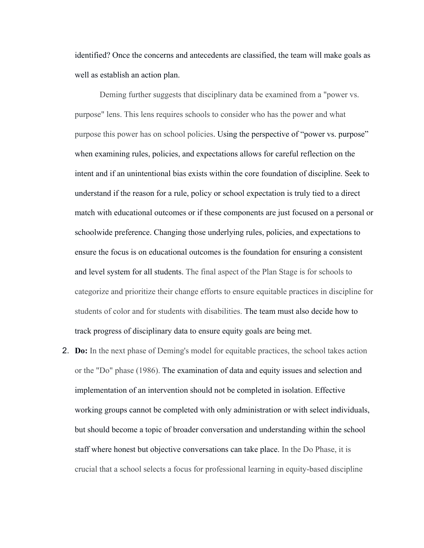identified? Once the concerns and antecedents are classified, the team will make goals as well as establish an action plan.

Deming further suggests that disciplinary data be examined from a "power vs. purpose" lens. This lens requires schools to consider who has the power and what purpose this power has on school policies. Using the perspective of "power vs. purpose" when examining rules, policies, and expectations allows for careful reflection on the intent and if an unintentional bias exists within the core foundation of discipline. Seek to understand if the reason for a rule, policy or school expectation is truly tied to a direct match with educational outcomes or if these components are just focused on a personal or schoolwide preference. Changing those underlying rules, policies, and expectations to ensure the focus is on educational outcomes is the foundation for ensuring a consistent and level system for all students. The final aspect of the Plan Stage is for schools to categorize and prioritize their change efforts to ensure equitable practices in discipline for students of color and for students with disabilities. The team must also decide how to track progress of disciplinary data to ensure equity goals are being met.

2. **Do:** In the next phase of Deming's model for equitable practices, the school takes action or the "Do" phase (1986). The examination of data and equity issues and selection and implementation of an intervention should not be completed in isolation. Effective working groups cannot be completed with only administration or with select individuals, but should become a topic of broader conversation and understanding within the school staff where honest but objective conversations can take place. In the Do Phase, it is crucial that a school selects a focus for professional learning in equity-based discipline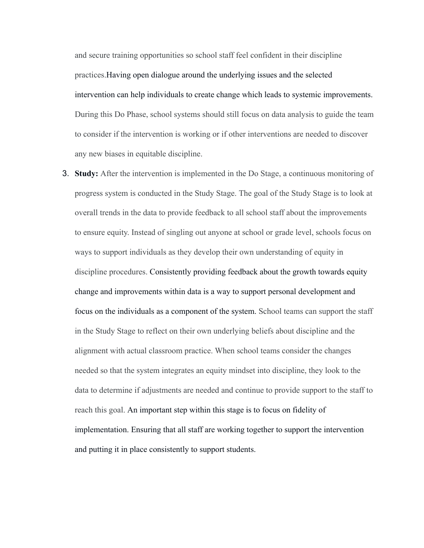and secure training opportunities so school staff feel confident in their discipline practices.Having open dialogue around the underlying issues and the selected intervention can help individuals to create change which leads to systemic improvements. During this Do Phase, school systems should still focus on data analysis to guide the team to consider if the intervention is working or if other interventions are needed to discover any new biases in equitable discipline.

3. **Study:** After the intervention is implemented in the Do Stage, a continuous monitoring of progress system is conducted in the Study Stage. The goal of the Study Stage is to look at overall trends in the data to provide feedback to all school staff about the improvements to ensure equity. Instead of singling out anyone at school or grade level, schools focus on ways to support individuals as they develop their own understanding of equity in discipline procedures. Consistently providing feedback about the growth towards equity change and improvements within data is a way to support personal development and focus on the individuals as a component of the system. School teams can support the staff in the Study Stage to reflect on their own underlying beliefs about discipline and the alignment with actual classroom practice. When school teams consider the changes needed so that the system integrates an equity mindset into discipline, they look to the data to determine if adjustments are needed and continue to provide support to the staff to reach this goal. An important step within this stage is to focus on fidelity of implementation. Ensuring that all staff are working together to support the intervention and putting it in place consistently to support students.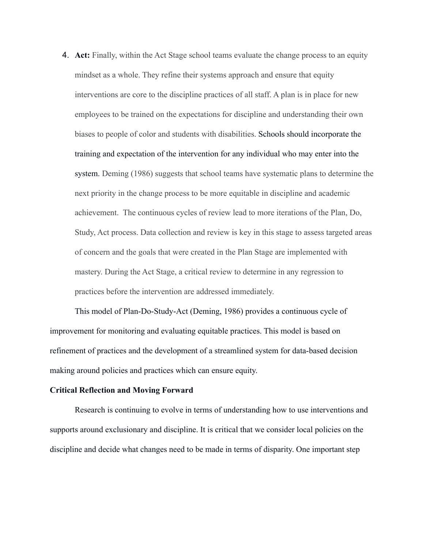4. **Act:** Finally, within the Act Stage school teams evaluate the change process to an equity mindset as a whole. They refine their systems approach and ensure that equity interventions are core to the discipline practices of all staff. A plan is in place for new employees to be trained on the expectations for discipline and understanding their own biases to people of color and students with disabilities. Schools should incorporate the training and expectation of the intervention for any individual who may enter into the system. Deming (1986) suggests that school teams have systematic plans to determine the next priority in the change process to be more equitable in discipline and academic achievement. The continuous cycles of review lead to more iterations of the Plan, Do, Study, Act process. Data collection and review is key in this stage to assess targeted areas of concern and the goals that were created in the Plan Stage are implemented with mastery. During the Act Stage, a critical review to determine in any regression to practices before the intervention are addressed immediately.

This model of Plan-Do-Study-Act (Deming, 1986) provides a continuous cycle of improvement for monitoring and evaluating equitable practices. This model is based on refinement of practices and the development of a streamlined system for data-based decision making around policies and practices which can ensure equity.

# **Critical Reflection and Moving Forward**

Research is continuing to evolve in terms of understanding how to use interventions and supports around exclusionary and discipline. It is critical that we consider local policies on the discipline and decide what changes need to be made in terms of disparity. One important step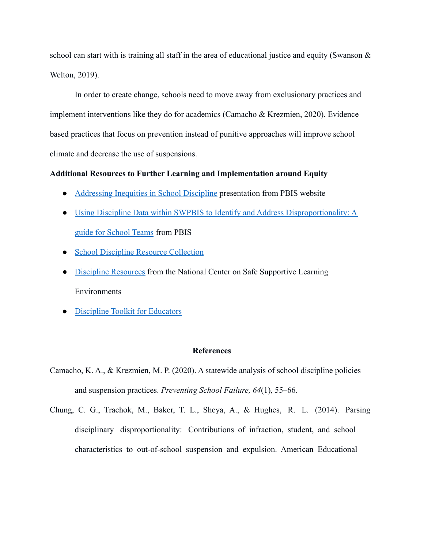school can start with is training all staff in the area of educational justice and equity (Swanson  $\&$ Welton, 2019).

In order to create change, schools need to move away from exclusionary practices and implement interventions like they do for academics (Camacho & Krezmien, 2020). Evidence based practices that focus on prevention instead of punitive approaches will improve school climate and decrease the use of suspensions.

# **Additional Resources to Further Learning and Implementation around Equity**

- [Addressing Inequities in School Discipline](https://www.pbis.org/resource/addressing-inequities-in-school-discipline) presentation from PBIS website
- [Using Discipline Data within SWPBIS to Identify and Address Disproportionality: A](https://www.pbis.org/resource/using-discipline-data-within-swpbis-to-identify-and-address-disproportionality-a-guide-for-school-teams) [guide for School Teams](https://www.pbis.org/resource/using-discipline-data-within-swpbis-to-identify-and-address-disproportionality-a-guide-for-school-teams) from PBIS
- [School Discipline Resource Collection](https://www.parentcenterhub.org/school-discipline-resources/#reads)
- [Discipline Resources](https://safesupportivelearning.ed.gov/topic-research/environment/discipline) from the National Center on Safe Supportive Learning Environments
- [Discipline Toolkit for Educators](http://njpsa.org/documents/pdf/FixSchoolDiscipline.pdf)

## **References**

- Camacho, K. A., & Krezmien, M. P. (2020). A statewide analysis of school discipline policies and suspension practices. *Preventing School Failure, 64*(1), 55–66.
- Chung, C. G., Trachok, M., Baker, T. L., Sheya, A., & Hughes, R. L. (2014). Parsing disciplinary disproportionality: Contributions of infraction, student, and school characteristics to out-of-school suspension and expulsion. American Educational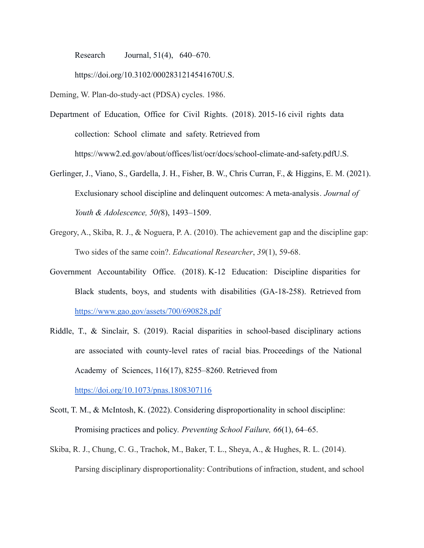Research Journal, 51(4), 640–670.

https://doi.org/10.3102/0002831214541670U.S.

Deming, W. Plan-do-study-act (PDSA) cycles. 1986.

- Department of Education, Office for Civil Rights. (2018). 2015-16 civil rights data collection: School climate and safety. Retrieved from https://www2.ed.gov/about/offices/list/ocr/docs/school-climate-and-safety.pdfU.S.
- Gerlinger, J., Viano, S., Gardella, J. H., Fisher, B. W., Chris Curran, F., & Higgins, E. M. (2021). Exclusionary school discipline and delinquent outcomes: A meta-analysis*. Journal of Youth & Adolescence, 50(*8), 1493–1509.
- Gregory, A., Skiba, R. J., & Noguera, P. A. (2010). The achievement gap and the discipline gap: Two sides of the same coin?. *Educational Researcher*, *39*(1), 59-68.
- Government Accountability Office. (2018). K-12 Education: Discipline disparities for Black students, boys, and students with disabilities (GA-18-258). Retrieved from <https://www.gao.gov/assets/700/690828.pdf>
- Riddle, T., & Sinclair, S. (2019). Racial disparities in school-based disciplinary actions are associated with county-level rates of racial bias. Proceedings of the National Academy of Sciences, 116(17), 8255–8260. Retrieved from [https://doi.org/10.1073/pnas.1808307116](https://doi.org/10.1073/pnas.1808307116S)

Scott, T. M., & McIntosh, K. (2022). Considering disproportionality in school discipline: Promising practices and policy*. Preventing School Failure, 66*(1), 64–65.

Skiba, R. J., Chung, C. G., Trachok, M., Baker, T. L., Sheya, A., & Hughes, R. L. (2014). Parsing disciplinary disproportionality: Contributions of infraction, student, and school